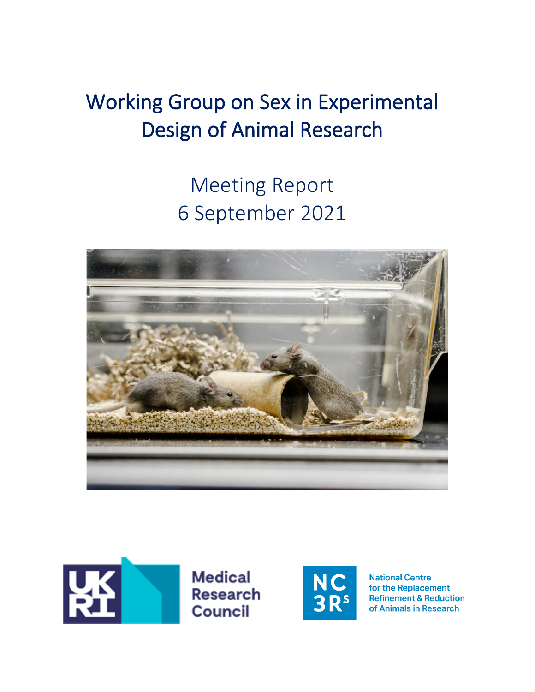# Working Group on Sex in Experimental Design of Animal Research

# Meeting Report 6 September 2021





**Medical Research Council** 



**National Centre** for the Replacement **Refinement & Reduction** of Animals in Research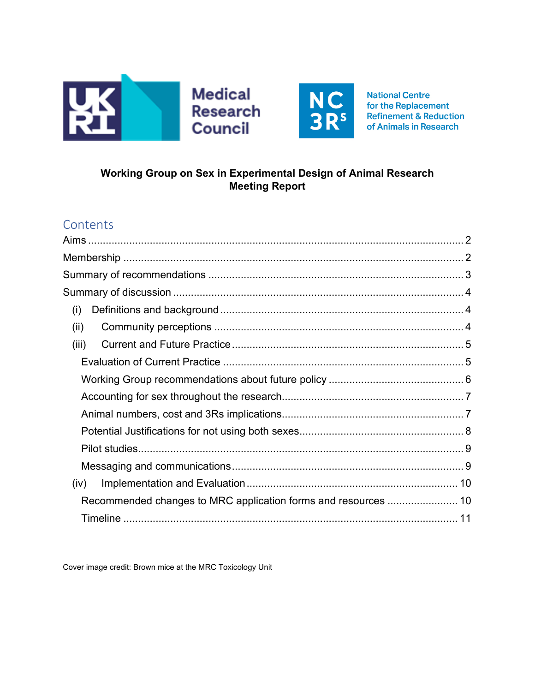



**National Centre** for the Replacement **Refinement & Reduction** of Animals in Research

# Working Group on Sex in Experimental Design of Animal Research **Meeting Report**

# Contents

| (i)                                                            |  |
|----------------------------------------------------------------|--|
| (ii)                                                           |  |
| (iii)                                                          |  |
|                                                                |  |
|                                                                |  |
|                                                                |  |
|                                                                |  |
|                                                                |  |
|                                                                |  |
|                                                                |  |
| (iv)                                                           |  |
| Recommended changes to MRC application forms and resources  10 |  |
|                                                                |  |

Cover image credit: Brown mice at the MRC Toxicology Unit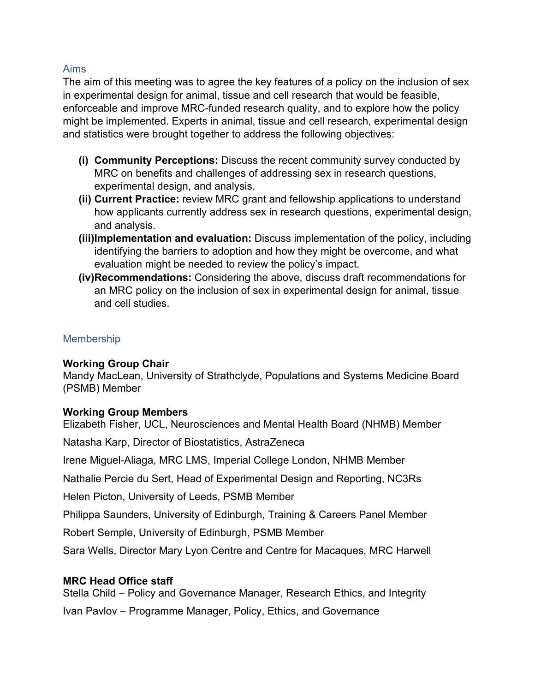## <span id="page-2-0"></span>Aims

The aim of this meeting was to agree the key features of a policy on the inclusion of sex in experimental design for animal, tissue and cell research that would be feasible, enforceable and improve MRC-funded research quality, and to explore how the policy might be implemented. Experts in animal, tissue and cell research, experimental design and statistics were brought together to address the following objectives:

- **(i) Community Perceptions:** Discuss the recent community survey conducted by MRC on benefits and challenges of addressing sex in research questions, experimental design, and analysis.
- **(ii) Current Practice:** review MRC grant and fellowship applications to understand how applicants currently address sex in research questions, experimental design, and analysis.
- **(iii)Implementation and evaluation:** Discuss implementation of the policy, including identifying the barriers to adoption and how they might be overcome, and what evaluation might be needed to review the policy's impact.
- **(iv)Recommendations:** Considering the above, discuss draft recommendations for an MRC policy on the inclusion of sex in experimental design for animal, tissue and cell studies.

# <span id="page-2-1"></span>**Membership**

## **Working Group Chair**

Mandy MacLean, University of Strathclyde, Populations and Systems Medicine Board (PSMB) Member

## **Working Group Members**

Elizabeth Fisher, UCL, Neurosciences and Mental Health Board (NHMB) Member

Natasha Karp, Director of Biostatistics, AstraZeneca

Irene Miguel-Aliaga, MRC LMS, Imperial College London, NHMB Member

Nathalie Percie du Sert, Head of Experimental Design and Reporting, NC3Rs

Helen Picton, University of Leeds, PSMB Member

Philippa Saunders, University of Edinburgh, Training & Careers Panel Member

Robert Semple, University of Edinburgh, PSMB Member

Sara Wells, Director Mary Lyon Centre and Centre for Macaques, MRC Harwell

# **MRC Head Office staff**

Stella Child – Policy and Governance Manager, Research Ethics, and Integrity Ivan Pavlov – Programme Manager, Policy, Ethics, and Governance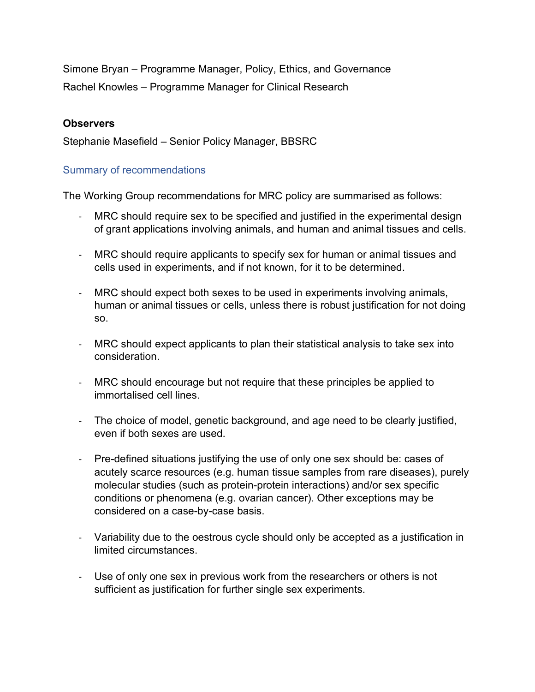Simone Bryan – Programme Manager, Policy, Ethics, and Governance Rachel Knowles – Programme Manager for Clinical Research

## **Observers**

Stephanie Masefield – Senior Policy Manager, BBSRC

## <span id="page-3-0"></span>Summary of recommendations

The Working Group recommendations for MRC policy are summarised as follows:

- MRC should require sex to be specified and justified in the experimental design of grant applications involving animals, and human and animal tissues and cells.
- MRC should require applicants to specify sex for human or animal tissues and cells used in experiments, and if not known, for it to be determined.
- MRC should expect both sexes to be used in experiments involving animals, human or animal tissues or cells, unless there is robust justification for not doing so.
- MRC should expect applicants to plan their statistical analysis to take sex into consideration.
- MRC should encourage but not require that these principles be applied to immortalised cell lines.
- The choice of model, genetic background, and age need to be clearly justified, even if both sexes are used.
- Pre-defined situations justifying the use of only one sex should be: cases of acutely scarce resources (e.g. human tissue samples from rare diseases), purely molecular studies (such as protein-protein interactions) and/or sex specific conditions or phenomena (e.g. ovarian cancer). Other exceptions may be considered on a case-by-case basis.
- Variability due to the oestrous cycle should only be accepted as a justification in limited circumstances.
- Use of only one sex in previous work from the researchers or others is not sufficient as justification for further single sex experiments.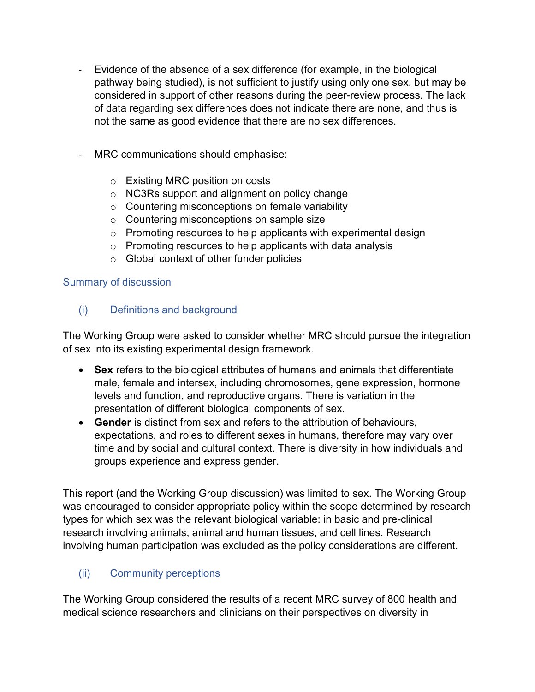- Evidence of the absence of a sex difference (for example, in the biological pathway being studied), is not sufficient to justify using only one sex, but may be considered in support of other reasons during the peer-review process. The lack of data regarding sex differences does not indicate there are none, and thus is not the same as good evidence that there are no sex differences.
- MRC communications should emphasise:
	- o Existing MRC position on costs
	- o NC3Rs support and alignment on policy change
	- o Countering misconceptions on female variability
	- o Countering misconceptions on sample size
	- o Promoting resources to help applicants with experimental design
	- $\circ$  Promoting resources to help applicants with data analysis
	- o Global context of other funder policies

# <span id="page-4-0"></span>Summary of discussion

<span id="page-4-1"></span>(i) Definitions and background

The Working Group were asked to consider whether MRC should pursue the integration of sex into its existing experimental design framework.

- **Sex** refers to the biological attributes of humans and animals that differentiate male, female and intersex, including chromosomes, gene expression, hormone levels and function, and reproductive organs. There is variation in the presentation of different biological components of sex.
- **Gender** is distinct from sex and refers to the attribution of behaviours, expectations, and roles to different sexes in humans, therefore may vary over time and by social and cultural context. There is diversity in how individuals and groups experience and express gender.

This report (and the Working Group discussion) was limited to sex. The Working Group was encouraged to consider appropriate policy within the scope determined by research types for which sex was the relevant biological variable: in basic and pre-clinical research involving animals, animal and human tissues, and cell lines. Research involving human participation was excluded as the policy considerations are different.

# <span id="page-4-2"></span>(ii) Community perceptions

The Working Group considered the results of a recent MRC survey of 800 health and medical science researchers and clinicians on their perspectives on diversity in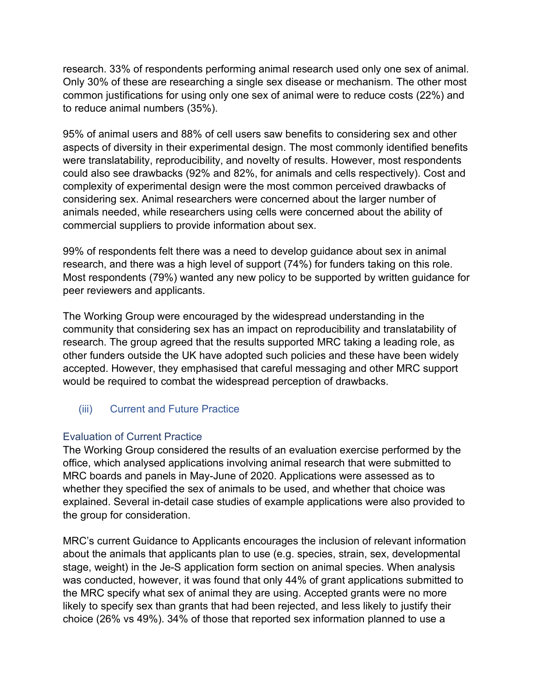research. 33% of respondents performing animal research used only one sex of animal. Only 30% of these are researching a single sex disease or mechanism. The other most common justifications for using only one sex of animal were to reduce costs (22%) and to reduce animal numbers (35%).

95% of animal users and 88% of cell users saw benefits to considering sex and other aspects of diversity in their experimental design. The most commonly identified benefits were translatability, reproducibility, and novelty of results. However, most respondents could also see drawbacks (92% and 82%, for animals and cells respectively). Cost and complexity of experimental design were the most common perceived drawbacks of considering sex. Animal researchers were concerned about the larger number of animals needed, while researchers using cells were concerned about the ability of commercial suppliers to provide information about sex.

99% of respondents felt there was a need to develop guidance about sex in animal research, and there was a high level of support (74%) for funders taking on this role. Most respondents (79%) wanted any new policy to be supported by written guidance for peer reviewers and applicants.

The Working Group were encouraged by the widespread understanding in the community that considering sex has an impact on reproducibility and translatability of research. The group agreed that the results supported MRC taking a leading role, as other funders outside the UK have adopted such policies and these have been widely accepted. However, they emphasised that careful messaging and other MRC support would be required to combat the widespread perception of drawbacks.

<span id="page-5-0"></span>(iii) Current and Future Practice

# <span id="page-5-1"></span>Evaluation of Current Practice

The Working Group considered the results of an evaluation exercise performed by the office, which analysed applications involving animal research that were submitted to MRC boards and panels in May-June of 2020. Applications were assessed as to whether they specified the sex of animals to be used, and whether that choice was explained. Several in-detail case studies of example applications were also provided to the group for consideration.

MRC's current Guidance to Applicants encourages the inclusion of relevant information about the animals that applicants plan to use (e.g. species, strain, sex, developmental stage, weight) in the Je-S application form section on animal species. When analysis was conducted, however, it was found that only 44% of grant applications submitted to the MRC specify what sex of animal they are using. Accepted grants were no more likely to specify sex than grants that had been rejected, and less likely to justify their choice (26% vs 49%). 34% of those that reported sex information planned to use a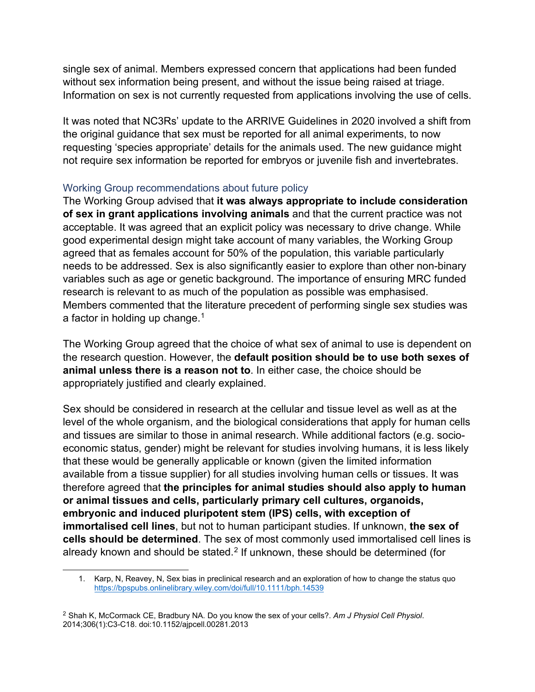single sex of animal. Members expressed concern that applications had been funded without sex information being present, and without the issue being raised at triage. Information on sex is not currently requested from applications involving the use of cells.

It was noted that NC3Rs' update to the ARRIVE Guidelines in 2020 involved a shift from the original guidance that sex must be reported for all animal experiments, to now requesting 'species appropriate' details for the animals used. The new guidance might not require sex information be reported for embryos or juvenile fish and invertebrates.

## <span id="page-6-0"></span>Working Group recommendations about future policy

The Working Group advised that **it was always appropriate to include consideration of sex in grant applications involving animals** and that the current practice was not acceptable. It was agreed that an explicit policy was necessary to drive change. While good experimental design might take account of many variables, the Working Group agreed that as females account for 50% of the population, this variable particularly needs to be addressed. Sex is also significantly easier to explore than other non-binary variables such as age or genetic background. The importance of ensuring MRC funded research is relevant to as much of the population as possible was emphasised. Members commented that the literature precedent of performing single sex studies was a factor in holding up change. $1$ 

The Working Group agreed that the choice of what sex of animal to use is dependent on the research question. However, the **default position should be to use both sexes of animal unless there is a reason not to**. In either case, the choice should be appropriately justified and clearly explained.

Sex should be considered in research at the cellular and tissue level as well as at the level of the whole organism, and the biological considerations that apply for human cells and tissues are similar to those in animal research. While additional factors (e.g. socioeconomic status, gender) might be relevant for studies involving humans, it is less likely that these would be generally applicable or known (given the limited information available from a tissue supplier) for all studies involving human cells or tissues. It was therefore agreed that **the principles for animal studies should also apply to human or animal tissues and cells, particularly primary cell cultures, organoids, embryonic and induced pluripotent stem (IPS) cells, with exception of immortalised cell lines**, but not to human participant studies. If unknown, **the sex of cells should be determined**. The sex of most commonly used immortalised cell lines is already known and should be stated.<sup>[2](#page-6-2)</sup> If unknown, these should be determined (for

<sup>1.</sup> Karp, N, Reavey, N, Sex bias in preclinical research and an exploration of how to change the status quo <https://bpspubs.onlinelibrary.wiley.com/doi/full/10.1111/bph.14539>

<span id="page-6-2"></span><span id="page-6-1"></span><sup>2</sup> Shah K, McCormack CE, Bradbury NA. Do you know the sex of your cells?. *Am J Physiol Cell Physiol*. 2014;306(1):C3-C18. doi:10.1152/ajpcell.00281.2013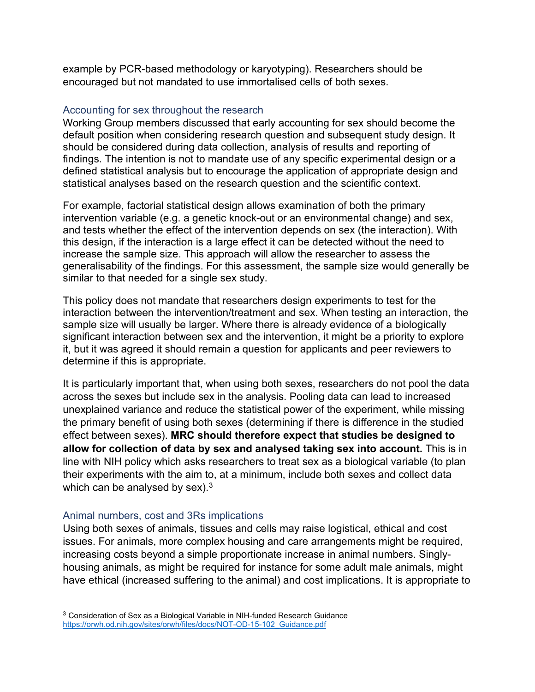example by PCR-based methodology or karyotyping). Researchers should be encouraged but not mandated to use immortalised cells of both sexes.

## <span id="page-7-0"></span>Accounting for sex throughout the research

Working Group members discussed that early accounting for sex should become the default position when considering research question and subsequent study design. It should be considered during data collection, analysis of results and reporting of findings. The intention is not to mandate use of any specific experimental design or a defined statistical analysis but to encourage the application of appropriate design and statistical analyses based on the research question and the scientific context.

For example, factorial statistical design allows examination of both the primary intervention variable (e.g. a genetic knock-out or an environmental change) and sex, and tests whether the effect of the intervention depends on sex (the interaction). With this design, if the interaction is a large effect it can be detected without the need to increase the sample size. This approach will allow the researcher to assess the generalisability of the findings. For this assessment, the sample size would generally be similar to that needed for a single sex study.

This policy does not mandate that researchers design experiments to test for the interaction between the intervention/treatment and sex. When testing an interaction, the sample size will usually be larger. Where there is already evidence of a biologically significant interaction between sex and the intervention, it might be a priority to explore it, but it was agreed it should remain a question for applicants and peer reviewers to determine if this is appropriate.

It is particularly important that, when using both sexes, researchers do not pool the data across the sexes but include sex in the analysis. Pooling data can lead to increased unexplained variance and reduce the statistical power of the experiment, while missing the primary benefit of using both sexes (determining if there is difference in the studied effect between sexes). **MRC should therefore expect that studies be designed to allow for collection of data by sex and analysed taking sex into account.** This is in line with NIH policy which asks researchers to treat sex as a biological variable (to plan their experiments with the aim to, at a minimum, include both sexes and collect data which can be analysed by sex). $^3$  $^3$ 

## <span id="page-7-1"></span>Animal numbers, cost and 3Rs implications

Using both sexes of animals, tissues and cells may raise logistical, ethical and cost issues. For animals, more complex housing and care arrangements might be required, increasing costs beyond a simple proportionate increase in animal numbers. Singlyhousing animals, as might be required for instance for some adult male animals, might have ethical (increased suffering to the animal) and cost implications. It is appropriate to

<span id="page-7-2"></span><sup>3</sup> Consideration of Sex as a Biological Variable in NIH-funded Research Guidance [https://orwh.od.nih.gov/sites/orwh/files/docs/NOT-OD-15-102\\_Guidance.pdf](https://orwh.od.nih.gov/sites/orwh/files/docs/NOT-OD-15-102_Guidance.pdf)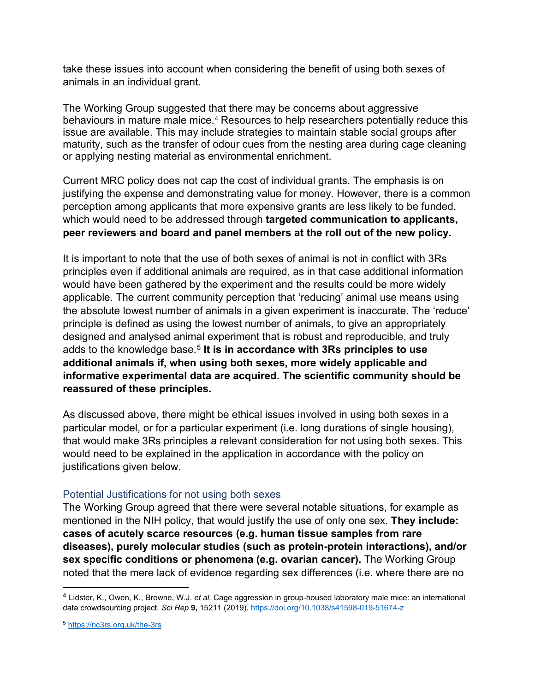take these issues into account when considering the benefit of using both sexes of animals in an individual grant.

The Working Group suggested that there may be concerns about aggressive behaviours in mature male mice.<sup>[4](#page-8-1)</sup> Resources to help researchers potentially reduce this issue are available. This may include strategies to maintain stable social groups after maturity, such as the transfer of odour cues from the nesting area during cage cleaning or applying nesting material as environmental enrichment.

Current MRC policy does not cap the cost of individual grants. The emphasis is on justifying the expense and demonstrating value for money. However, there is a common perception among applicants that more expensive grants are less likely to be funded, which would need to be addressed through **targeted communication to applicants, peer reviewers and board and panel members at the roll out of the new policy.**

It is important to note that the use of both sexes of animal is not in conflict with 3Rs principles even if additional animals are required, as in that case additional information would have been gathered by the experiment and the results could be more widely applicable. The current community perception that 'reducing' animal use means using the absolute lowest number of animals in a given experiment is inaccurate. The 'reduce' principle is defined as using the lowest number of animals, to give an appropriately designed and analysed animal experiment that is robust and reproducible, and truly adds to the knowledge base.<sup>[5](#page-8-2)</sup> It is in accordance with 3Rs principles to use **additional animals if, when using both sexes, more widely applicable and informative experimental data are acquired. The scientific community should be reassured of these principles.**

As discussed above, there might be ethical issues involved in using both sexes in a particular model, or for a particular experiment (i.e. long durations of single housing), that would make 3Rs principles a relevant consideration for not using both sexes. This would need to be explained in the application in accordance with the policy on justifications given below.

## <span id="page-8-0"></span>Potential Justifications for not using both sexes

The Working Group agreed that there were several notable situations, for example as mentioned in the NIH policy, that would justify the use of only one sex. **They include: cases of acutely scarce resources (e.g. human tissue samples from rare diseases), purely molecular studies (such as protein-protein interactions), and/or sex specific conditions or phenomena (e.g. ovarian cancer).** The Working Group noted that the mere lack of evidence regarding sex differences (i.e. where there are no

<span id="page-8-1"></span><sup>4</sup> Lidster, K., Owen, K., Browne, W.J. *et al.* Cage aggression in group-housed laboratory male mice: an international data crowdsourcing project. *Sci Rep* **9,** 15211 (2019).<https://doi.org/10.1038/s41598-019-51674-z>

<span id="page-8-2"></span><sup>5</sup> <https://nc3rs.org.uk/the-3rs>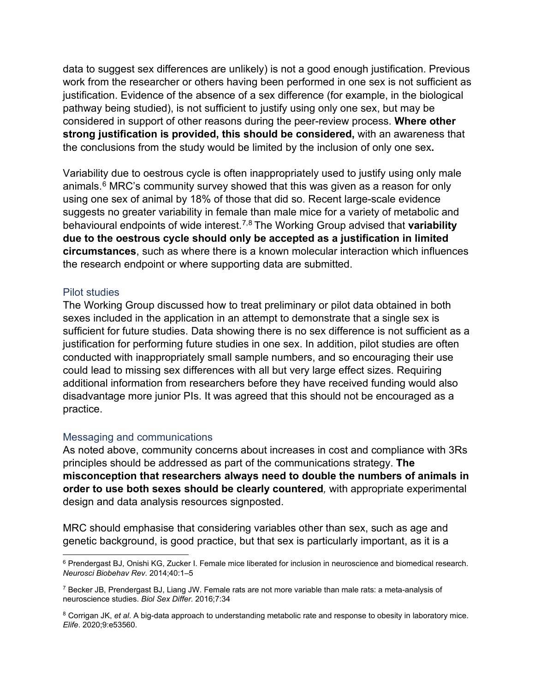data to suggest sex differences are unlikely) is not a good enough justification. Previous work from the researcher or others having been performed in one sex is not sufficient as justification. Evidence of the absence of a sex difference (for example, in the biological pathway being studied), is not sufficient to justify using only one sex, but may be considered in support of other reasons during the peer-review process. **Where other strong justification is provided, this should be considered,** with an awareness that the conclusions from the study would be limited by the inclusion of only one sex**.**

Variability due to oestrous cycle is often inappropriately used to justify using only male animals. $6$  MRC's community survey showed that this was given as a reason for only using one sex of animal by 18% of those that did so. Recent large-scale evidence suggests no greater variability in female than male mice for a variety of metabolic and behavioural endpoints of wide interest.[7,](#page-9-3)[8](#page-9-4) The Working Group advised that **variability due to the oestrous cycle should only be accepted as a justification in limited circumstances**, such as where there is a known molecular interaction which influences the research endpoint or where supporting data are submitted.

#### <span id="page-9-0"></span>Pilot studies

The Working Group discussed how to treat preliminary or pilot data obtained in both sexes included in the application in an attempt to demonstrate that a single sex is sufficient for future studies. Data showing there is no sex difference is not sufficient as a justification for performing future studies in one sex. In addition, pilot studies are often conducted with inappropriately small sample numbers, and so encouraging their use could lead to missing sex differences with all but very large effect sizes. Requiring additional information from researchers before they have received funding would also disadvantage more junior PIs. It was agreed that this should not be encouraged as a practice.

#### <span id="page-9-1"></span>Messaging and communications

As noted above, community concerns about increases in cost and compliance with 3Rs principles should be addressed as part of the communications strategy. **The misconception that researchers always need to double the numbers of animals in order to use both sexes should be clearly countered***,* with appropriate experimental design and data analysis resources signposted.

MRC should emphasise that considering variables other than sex, such as age and genetic background, is good practice, but that sex is particularly important, as it is a

<span id="page-9-2"></span><sup>6</sup> Prendergast BJ, Onishi KG, Zucker I. Female mice liberated for inclusion in neuroscience and biomedical research. *Neurosci Biobehav Rev.* 2014;40:1–5

<span id="page-9-3"></span> $7$  Becker JB, Prendergast BJ, Liang JW. Female rats are not more variable than male rats: a meta-analysis of neuroscience studies. *Biol Sex Differ.* 2016;7:34

<span id="page-9-4"></span><sup>8</sup> Corrigan JK, *et al*. A big-data approach to understanding metabolic rate and response to obesity in laboratory mice. *Elife*. 2020;9:e53560.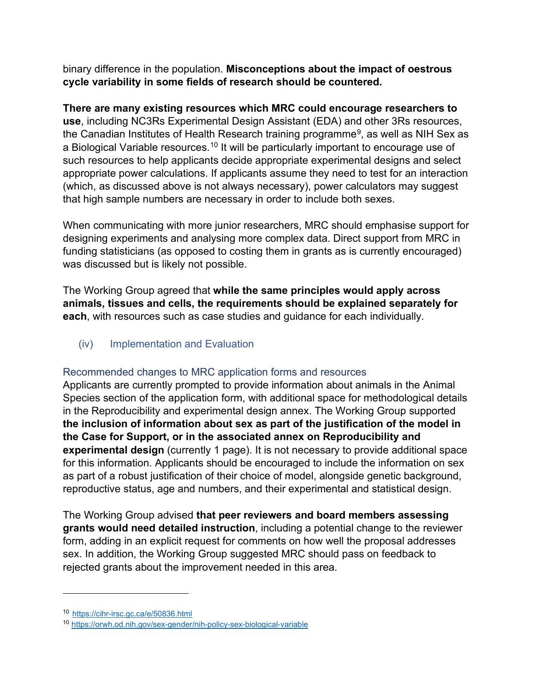binary difference in the population. **Misconceptions about the impact of oestrous cycle variability in some fields of research should be countered.**

**There are many existing resources which MRC could encourage researchers to use**, including NC3Rs Experimental Design Assistant (EDA) and other 3Rs resources, the Canadian Institutes of Health Research training programme<sup>[9](#page-10-2)</sup>, as well as NIH Sex as a Biological Variable resources.<sup>[10](#page-10-3)</sup> It will be particularly important to encourage use of such resources to help applicants decide appropriate experimental designs and select appropriate power calculations. If applicants assume they need to test for an interaction (which, as discussed above is not always necessary), power calculators may suggest that high sample numbers are necessary in order to include both sexes.

When communicating with more junior researchers, MRC should emphasise support for designing experiments and analysing more complex data. Direct support from MRC in funding statisticians (as opposed to costing them in grants as is currently encouraged) was discussed but is likely not possible.

The Working Group agreed that **while the same principles would apply across animals, tissues and cells, the requirements should be explained separately for each**, with resources such as case studies and guidance for each individually.

<span id="page-10-0"></span>(iv) Implementation and Evaluation

# <span id="page-10-1"></span>Recommended changes to MRC application forms and resources

Applicants are currently prompted to provide information about animals in the Animal Species section of the application form, with additional space for methodological details in the Reproducibility and experimental design annex. The Working Group supported **the inclusion of information about sex as part of the justification of the model in the Case for Support, or in the associated annex on Reproducibility and experimental design** (currently 1 page). It is not necessary to provide additional space for this information. Applicants should be encouraged to include the information on sex as part of a robust justification of their choice of model, alongside genetic background, reproductive status, age and numbers, and their experimental and statistical design.

The Working Group advised **that peer reviewers and board members assessing grants would need detailed instruction**, including a potential change to the reviewer form, adding in an explicit request for comments on how well the proposal addresses sex. In addition, the Working Group suggested MRC should pass on feedback to rejected grants about the improvement needed in this area.

<span id="page-10-2"></span><sup>10</sup> <https://cihr-irsc.gc.ca/e/50836.html>

<span id="page-10-3"></span><sup>10</sup> <https://orwh.od.nih.gov/sex-gender/nih-policy-sex-biological-variable>